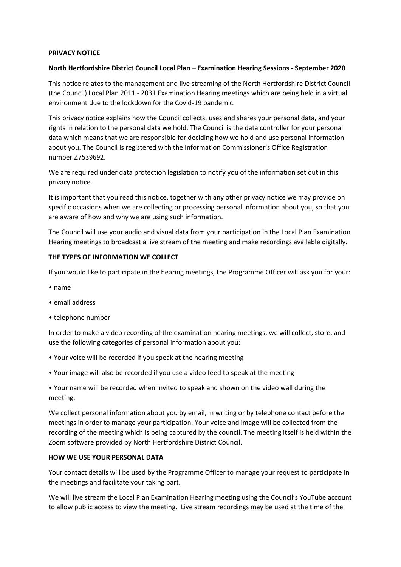#### **PRIVACY NOTICE**

#### **North Hertfordshire District Council Local Plan – Examination Hearing Sessions - September 2020**

This notice relates to the management and live streaming of the North Hertfordshire District Council (the Council) Local Plan 2011 - 2031 Examination Hearing meetings which are being held in a virtual environment due to the lockdown for the Covid-19 pandemic.

This privacy notice explains how the Council collects, uses and shares your personal data, and your rights in relation to the personal data we hold. The Council is the data controller for your personal data which means that we are responsible for deciding how we hold and use personal information about you. The Council is registered with the Information Commissioner's Office Registration number Z7539692.

We are required under data protection legislation to notify you of the information set out in this privacy notice.

It is important that you read this notice, together with any other privacy notice we may provide on specific occasions when we are collecting or processing personal information about you, so that you are aware of how and why we are using such information.

The Council will use your audio and visual data from your participation in the Local Plan Examination Hearing meetings to broadcast a live stream of the meeting and make recordings available digitally.

#### **THE TYPES OF INFORMATION WE COLLECT**

If you would like to participate in the hearing meetings, the Programme Officer will ask you for your:

- name
- email address
- telephone number

In order to make a video recording of the examination hearing meetings, we will collect, store, and use the following categories of personal information about you:

- Your voice will be recorded if you speak at the hearing meeting
- Your image will also be recorded if you use a video feed to speak at the meeting

• Your name will be recorded when invited to speak and shown on the video wall during the meeting.

We collect personal information about you by email, in writing or by telephone contact before the meetings in order to manage your participation. Your voice and image will be collected from the recording of the meeting which is being captured by the council. The meeting itself is held within the Zoom software provided by North Hertfordshire District Council.

#### **HOW WE USE YOUR PERSONAL DATA**

Your contact details will be used by the Programme Officer to manage your request to participate in the meetings and facilitate your taking part.

We will live stream the Local Plan Examination Hearing meeting using the Council's YouTube account to allow public access to view the meeting. Live stream recordings may be used at the time of the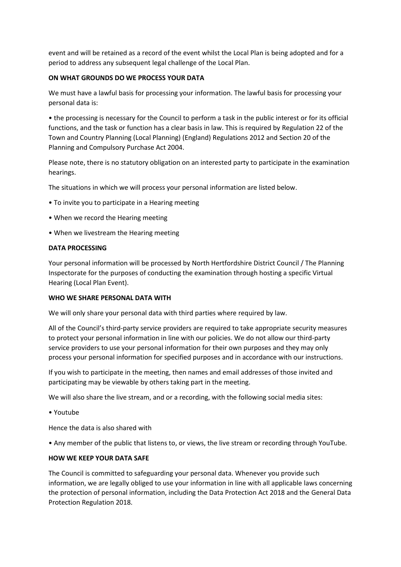event and will be retained as a record of the event whilst the Local Plan is being adopted and for a period to address any subsequent legal challenge of the Local Plan.

# **ON WHAT GROUNDS DO WE PROCESS YOUR DATA**

We must have a lawful basis for processing your information. The lawful basis for processing your personal data is:

• the processing is necessary for the Council to perform a task in the public interest or for its official functions, and the task or function has a clear basis in law. This is required by Regulation 22 of the Town and Country Planning (Local Planning) (England) Regulations 2012 and Section 20 of the Planning and Compulsory Purchase Act 2004.

Please note, there is no statutory obligation on an interested party to participate in the examination hearings.

The situations in which we will process your personal information are listed below.

- To invite you to participate in a Hearing meeting
- When we record the Hearing meeting
- When we livestream the Hearing meeting

# **DATA PROCESSING**

Your personal information will be processed by North Hertfordshire District Council / The Planning Inspectorate for the purposes of conducting the examination through hosting a specific Virtual Hearing (Local Plan Event).

# **WHO WE SHARE PERSONAL DATA WITH**

We will only share your personal data with third parties where required by law.

All of the Council's third-party service providers are required to take appropriate security measures to protect your personal information in line with our policies. We do not allow our third-party service providers to use your personal information for their own purposes and they may only process your personal information for specified purposes and in accordance with our instructions.

If you wish to participate in the meeting, then names and email addresses of those invited and participating may be viewable by others taking part in the meeting.

We will also share the live stream, and or a recording, with the following social media sites:

• Youtube

Hence the data is also shared with

• Any member of the public that listens to, or views, the live stream or recording through YouTube.

# **HOW WE KEEP YOUR DATA SAFE**

The Council is committed to safeguarding your personal data. Whenever you provide such information, we are legally obliged to use your information in line with all applicable laws concerning the protection of personal information, including the Data Protection Act 2018 and the General Data Protection Regulation 2018.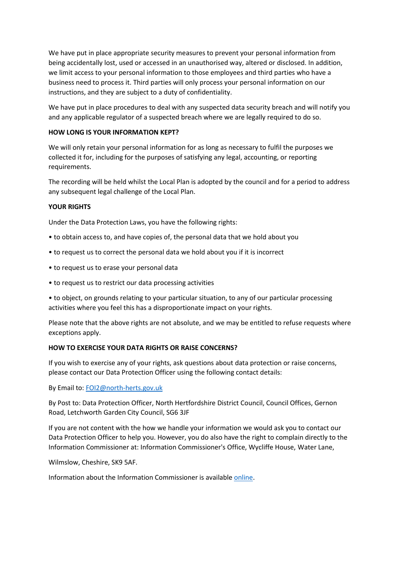We have put in place appropriate security measures to prevent your personal information from being accidentally lost, used or accessed in an unauthorised way, altered or disclosed. In addition, we limit access to your personal information to those employees and third parties who have a business need to process it. Third parties will only process your personal information on our instructions, and they are subject to a duty of confidentiality.

We have put in place procedures to deal with any suspected data security breach and will notify you and any applicable regulator of a suspected breach where we are legally required to do so.

# **HOW LONG IS YOUR INFORMATION KEPT?**

We will only retain your personal information for as long as necessary to fulfil the purposes we collected it for, including for the purposes of satisfying any legal, accounting, or reporting requirements.

The recording will be held whilst the Local Plan is adopted by the council and for a period to address any subsequent legal challenge of the Local Plan.

# **YOUR RIGHTS**

Under the Data Protection Laws, you have the following rights:

- to obtain access to, and have copies of, the personal data that we hold about you
- to request us to correct the personal data we hold about you if it is incorrect
- to request us to erase your personal data
- to request us to restrict our data processing activities
- to object, on grounds relating to your particular situation, to any of our particular processing activities where you feel this has a disproportionate impact on your rights.

Please note that the above rights are not absolute, and we may be entitled to refuse requests where exceptions apply.

# **HOW TO EXERCISE YOUR DATA RIGHTS OR RAISE CONCERNS?**

If you wish to exercise any of your rights, ask questions about data protection or raise concerns, please contact our Data Protection Officer using the following contact details:

By Email to: [FOI2@north-herts.gov.uk](mailto:FOI2@north-herts.gov.uk)

By Post to: Data Protection Officer, North Hertfordshire District Council, Council Offices, Gernon Road, Letchworth Garden City Council, SG6 3JF

If you are not content with the how we handle your information we would ask you to contact our Data Protection Officer to help you. However, you do also have the right to complain directly to the Information Commissioner at: Information Commissioner's Office, Wycliffe House, Water Lane,

Wilmslow, Cheshire, SK9 5AF.

Information about the Information Commissioner is availabl[e online.](https://ico.org.uk/)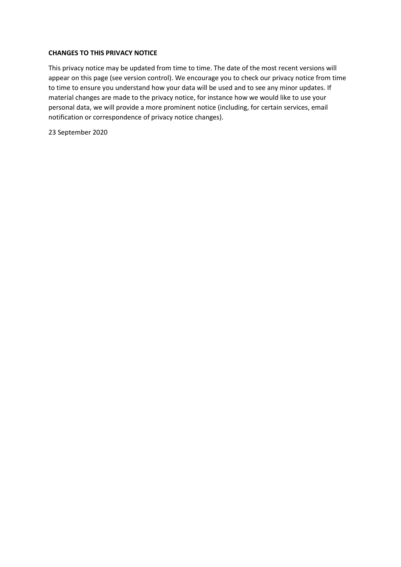# **CHANGES TO THIS PRIVACY NOTICE**

This privacy notice may be updated from time to time. The date of the most recent versions will appear on this page (see version control). We encourage you to check our privacy notice from time to time to ensure you understand how your data will be used and to see any minor updates. If material changes are made to the privacy notice, for instance how we would like to use your personal data, we will provide a more prominent notice (including, for certain services, email notification or correspondence of privacy notice changes).

23 September 2020